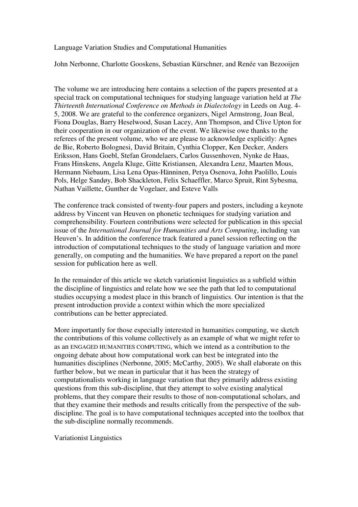Language Variation Studies and Computational Humanities

John Nerbonne, Charlotte Gooskens, Sebastian Kürschner, and Renée van Bezooijen

The volume we are introducing here contains a selection of the papers presented at a special track on computational techniques for studying language variation held at *The Thirteenth International Conference on Methods in Dialectology* in Leeds on Aug. 4- 5, 2008. We are grateful to the conference organizers, Nigel Armstrong, Joan Beal, Fiona Douglas, Barry Heselwood, Susan Lacey, Ann Thompson, and Clive Upton for their cooperation in our organization of the event. We likewise owe thanks to the referees of the present volume, who we are please to acknowledge explicitly: Agnes de Bie, Roberto Bolognesi, David Britain, Cynthia Clopper, Ken Decker, Anders Eriksson, Hans Goebl, Stefan Grondelaers, Carlos Gussenhoven, Nynke de Haas, Frans Hinskens, Angela Kluge, Gitte Kristiansen, Alexandra Lenz, Maarten Mous, Hermann Niebaum, Lisa Lena Opas-Hänninen, Petya Osenova, John Paolillo, Louis Pols, Helge Sandøy, Bob Shackleton, Felix Schaeffler, Marco Spruit, Rint Sybesma, Nathan Vaillette, Gunther de Vogelaer, and Esteve Valls

The conference track consisted of twenty-four papers and posters, including a keynote address by Vincent van Heuven on phonetic techniques for studying variation and comprehensibility. Fourteen contributions were selected for publication in this special issue of the *International Journal for Humanities and Arts Computing*, including van Heuven's. In addition the conference track featured a panel session reflecting on the introduction of computational techniques to the study of language variation and more generally, on computing and the humanities. We have prepared a report on the panel session for publication here as well.

In the remainder of this article we sketch variationist linguistics as a subfield within the discipline of linguistics and relate how we see the path that led to computational studies occupying a modest place in this branch of linguistics. Our intention is that the present introduction provide a context within which the more specialized contributions can be better appreciated.

More importantly for those especially interested in humanities computing, we sketch the contributions of this volume collectively as an example of what we might refer to as an ENGAGED HUMANITIES COMPUTING, which we intend as a contribution to the ongoing debate about how computational work can best be integrated into the humanities disciplines (Nerbonne, 2005; McCarthy, 2005). We shall elaborate on this further below, but we mean in particular that it has been the strategy of computationalists working in language variation that they primarily address existing questions from this sub-discipline, that they attempt to solve existing analytical problems, that they compare their results to those of non-computational scholars, and that they examine their methods and results critically from the perspective of the subdiscipline. The goal is to have computational techniques accepted into the toolbox that the sub-discipline normally recommends.

Variationist Linguistics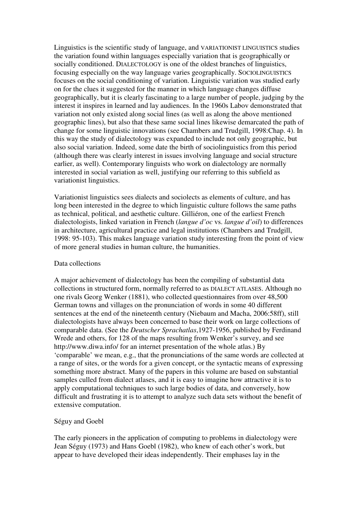Linguistics is the scientific study of language, and VARIATIONIST LINGUISTICS studies the variation found within languages especially variation that is geographically or socially conditioned. DIALECTOLOGY is one of the oldest branches of linguistics, focusing especially on the way language varies geographically. SOCIOLINGUISTICS focuses on the social conditioning of variation. Linguistic variation was studied early on for the clues it suggested for the manner in which language changes diffuse geographically, but it is clearly fascinating to a large number of people, judging by the interest it inspires in learned and lay audiences. In the 1960s Labov demonstrated that variation not only existed along social lines (as well as along the above mentioned geographic lines), but also that these same social lines likewise demarcated the path of change for some linguistic innovations (see Chambers and Trudgill, 1998:Chap. 4). In this way the study of dialectology was expanded to include not only geographic, but also social variation. Indeed, some date the birth of sociolinguistics from this period (although there was clearly interest in issues involving language and social structure earlier, as well). Contemporary linguists who work on dialectology are normally interested in social variation as well, justifying our referring to this subfield as variationist linguistics.

Variationist linguistics sees dialects and sociolects as elements of culture, and has long been interested in the degree to which linguistic culture follows the same paths as technical, political, and aesthetic culture. Gilliéron, one of the earliest French dialectologists, linked variation in French (*langue d'oc* vs. *langue d'oil*) to differences in architecture, agricultural practice and legal institutions (Chambers and Trudgill, 1998: 95-103). This makes language variation study interesting from the point of view of more general studies in human culture, the humanities.

### Data collections

A major achievement of dialectology has been the compiling of substantial data collections in structured form, normally referred to as DIALECT ATLASES. Although no one rivals Georg Wenker (1881), who collected questionnaires from over 48,500 German towns and villages on the pronunciation of words in some 40 different sentences at the end of the nineteenth century (Niebaum and Macha, 2006:58ff), still dialectologists have always been concerned to base their work on large collections of comparable data. (See the *Deutscher Sprachatlas*,1927-1956, published by Ferdinand Wrede and others, for 128 of the maps resulting from Wenker's survey, and see http://www.diwa.info/ for an internet presentation of the whole atlas.) By 'comparable' we mean, e.g., that the pronunciations of the same words are collected at a range of sites, or the words for a given concept, or the syntactic means of expressing something more abstract. Many of the papers in this volume are based on substantial samples culled from dialect atlases, and it is easy to imagine how attractive it is to apply computational techniques to such large bodies of data, and conversely, how difficult and frustrating it is to attempt to analyze such data sets without the benefit of extensive computation.

#### Séguy and Goebl

The early pioneers in the application of computing to problems in dialectology were Jean Séguy (1973) and Hans Goebl (1982), who knew of each other's work, but appear to have developed their ideas independently. Their emphases lay in the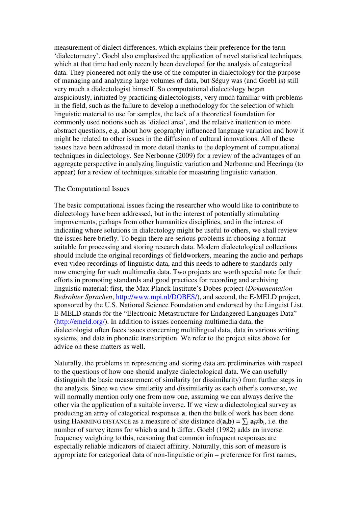measurement of dialect differences, which explains their preference for the term 'dialectometry'. Goebl also emphasized the application of novel statistical techniques, which at that time had only recently been developed for the analysis of categorical data. They pioneered not only the use of the computer in dialectology for the purpose of managing and analyzing large volumes of data, but Séguy was (and Goebl is) still very much a dialectologist himself. So computational dialectology began auspiciously, initiated by practicing dialectologists, very much familiar with problems in the field, such as the failure to develop a methodology for the selection of which linguistic material to use for samples, the lack of a theoretical foundation for commonly used notions such as 'dialect area', and the relative inattention to more abstract questions, e.g. about how geography influenced language variation and how it might be related to other issues in the diffusion of cultural innovations. All of these issues have been addressed in more detail thanks to the deployment of computational techniques in dialectology. See Nerbonne (2009) for a review of the advantages of an aggregate perspective in analyzing linguistic variation and Nerbonne and Heeringa (to appear) for a review of techniques suitable for measuring linguistic variation.

# The Computational Issues

The basic computational issues facing the researcher who would like to contribute to dialectology have been addressed, but in the interest of potentially stimulating improvements, perhaps from other humanities disciplines, and in the interest of indicating where solutions in dialectology might be useful to others, we shall review the issues here briefly. To begin there are serious problems in choosing a format suitable for processing and storing research data. Modern dialectological collections should include the original recordings of fieldworkers, meaning the audio and perhaps even video recordings of linguistic data, and this needs to adhere to standards only now emerging for such multimedia data. Two projects are worth special note for their efforts in promoting standards and good practices for recording and archiving linguistic material: first, the Max Planck Institute's Dobes project (*Dokumentation Bedrohter Sprachen*, http://www.mpi.nl/DOBES/), and second, the E-MELD project, sponsored by the U.S. National Science Foundation and endorsed by the Linguist List. E-MELD stands for the "Electronic Metastructure for Endangered Languages Data" (http://emeld.org/). In addition to issues concerning multimedia data, the dialectologist often faces issues concerning multilingual data, data in various writing systems, and data in phonetic transcription. We refer to the project sites above for advice on these matters as well.

Naturally, the problems in representing and storing data are preliminaries with respect to the questions of how one should analyze dialectological data. We can usefully distinguish the basic measurement of similarity (or dissimilarity) from further steps in the analysis. Since we view similarity and dissimilarity as each other's converse, we will normally mention only one from now one, assuming we can always derive the other via the application of a suitable inverse. If we view a dialectological survey as producing an array of categorical responses **a**, then the bulk of work has been done using HAMMING DISTANCE as a measure of site distance  $d(\mathbf{a}, \mathbf{b}) = \sum_i \mathbf{a}_i \neq \mathbf{b}_i$ , i.e. the number of survey items for which **a** and **b** differ. Goebl (1982) adds an inverse frequency weighting to this, reasoning that common infrequent responses are especially reliable indicators of dialect affinity. Naturally, this sort of measure is appropriate for categorical data of non-linguistic origin – preference for first names,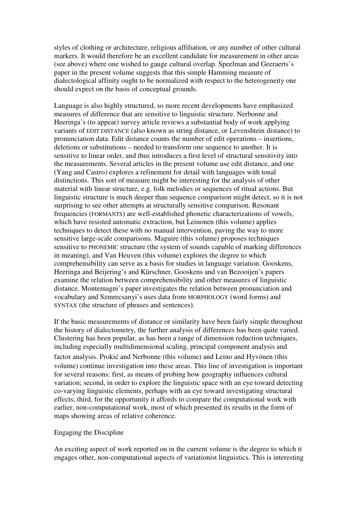styles of clothing or architecture, religious affiliation, or any number of other cultural markers. It would therefore be an excellent candidate for measurement in other areas (see above) where one wished to gauge cultural overlap. Speelman and Geeraerts's paper in the present volume suggests that this simple Hamming measure of dialectological affinity ought to be normalized with respect to the heterogeneity one should expect on the basis of conceptual grounds.

Language is also highly structured, so more recent developments have emphasized measures of difference that are sensitive to linguistic structure. Nerbonne and Heeringa's (to appear) survey article reviews a substantial body of work applying variants of EDIT DISTANCE (also known as string distance, or Levenshtein distance) to pronunciation data. Edit distance counts the number of edit operations – insertions, deletions or substitutions – needed to transform one sequence to another. It is sensitive to linear order, and thus introduces a first level of structural sensitivity into the measurements. Several articles in the present volume use edit distance, and one (Yang and Castro) explores a refinement for detail with languages with tonal distinctions. This sort of measure might be interesting for the analysis of other material with linear structure, e.g. folk melodies or sequences of ritual actions. But linguistic structure is much deeper than sequence comparison might detect, so it is not surprising to see other attempts at structurally sensitive comparison. Resonant frequencies (FORMANTS) are well-established phonetic characterizations of vowels, which have resisted automatic extraction, but Leinonen (this volume) applies techniques to detect these with no manual intervention, paving the way to more sensitive large-scale comparisons. Maguire (this volume) proposes techniques sensitive to PHONEMIC structure (the system of sounds capable of marking differences in meaning), and Van Heuven (this volume) explores the degree to which comprehensibility can serve as a basis for studies in language variation. Gooskens, Heeringa and Beijering's and Kürschner, Gooskens and van Bezooijen's papers examine the relation between comprehensibility and other measures of linguistic distance. Montemagni's paper investigates the relation between pronunciation and vocabulary and Szmrecsanyi's uses data from MORPHOLOGY (word forms) and SYNTAX (the structure of phrases and sentences).

If the basic measurements of distance or similarity have been fairly simple throughout the history of dialectometry, the further analysis of differences has been quite varied. Clustering has been popular, as has been a range of dimension reduction techniques, including especially multidimensional scaling, principal component analysis and factor analysis. Prokić and Nerbonne (this volume) and Leino and Hyvönen (this volume) continue investigation into these areas. This line of investigation is important for several reasons: first, as means of probing how geography influences cultural variation; second, in order to explore the linguistic space with an eye toward detecting co-varying linguistic elements, perhaps with an eye toward investigating structural effects; third, for the opportunity it affords to compare the computational work with earlier, non-computational work, most of which presented its results in the form of maps showing areas of relative coherence.

# Engaging the Discipline

An exciting aspect of work reported on in the current volume is the degree to which it engages other, non-computational aspects of variationist linguistics. This is interesting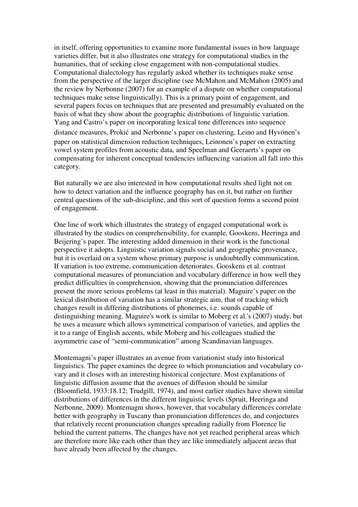in itself, offering opportunities to examine more fundamental issues in how language varieties differ, but it also illustrates one strategy for computational studies in the humanities, that of seeking close engagement with non-computational studies. Computational dialectology has regularly asked whether its techniques make sense from the perspective of the larger discipline (see McMahon and McMahon (2005) and the review by Nerbonne (2007) for an example of a dispute on whether computational techniques make sense linguistically). This is a primary point of engagement, and several papers focus on techniques that are presented and presumably evaluated on the basis of what they show about the geographic distributions of linguistic variation. Yang and Castro's paper on incorporating lexical tone differences into sequence distance measures, Prokić and Nerbonne's paper on clustering, Leino and Hyvönen's paper on statistical dimension reduction techniques, Leinonen's paper on extracting vowel system profiles from acoustic data, and Speelman and Geeraerts's paper on compensating for inherent conceptual tendencies influencing variation all fall into this category.

But naturally we are also interested in how computational results shed light not on how to detect variation and the influence geography has on it, but rather on further central questions of the sub-discipline, and this sort of question forms a second point of engagement.

One line of work which illustrates the strategy of engaged computational work is illustrated by the studies on comprehensibility, for example, Gooskens, Heeringa and Beijering's paper. The interesting added dimension in their work is the functional perspective it adopts. Linguistic variation signals social and geographic provenance, but it is overlaid on a system whose primary purpose is undoubtedly communication. If variation is too extreme, communication deteriorates. Gooskens et al. contrast computational measures of pronunciation and vocabulary difference in how well they predict difficulties in comprehension, showing that the pronunciation differences present the more serious problems (at least in this material). Maguire's paper on the lexical distribution of variation has a similar strategic aim, that of tracking which changes result in differing distributions of phonemes, i.e. sounds capable of distinguishing meaning. Maguire's work is similar to Moberg et al.'s (2007) study, but he uses a measure which allows symmetrical comparison of varieties, and applies the it to a range of English accents, while Moberg and his colleagues studied the asymmetric case of "semi-communication" among Scandinavian languages.

Montemagni's paper illustrates an avenue from variationist study into historical linguistics. The paper examines the degree to which pronunciation and vocabulary covary and it closes with an interesting historical conjecture. Most explanations of linguistic diffusion assume that the avenues of diffusion should be similar (Bloomfield, 1933:18.12; Trudgill, 1974), and most earlier studies have shown similar distributions of differences in the different linguistic levels (Spruit, Heeringa and Nerbonne, 2009). Montemagni shows, however, that vocabulary differences correlate better with geography in Tuscany than pronunciation differences do, and conjectures that relatively recent pronunciation changes spreading radially from Florence lie behind the current patterns. The changes have not yet reached peripheral areas which are therefore more like each other than they are like immediately adjacent areas that have already been affected by the changes.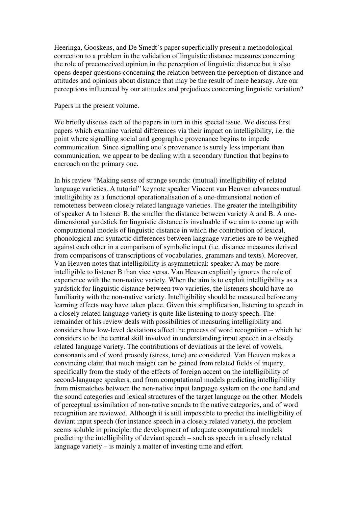Heeringa, Gooskens, and De Smedt's paper superficially present a methodological correction to a problem in the validation of linguistic distance measures concerning the role of preconceived opinion in the perception of linguistic distance but it also opens deeper questions concerning the relation between the perception of distance and attitudes and opinions about distance that may be the result of mere hearsay. Are our perceptions influenced by our attitudes and prejudices concerning linguistic variation?

Papers in the present volume.

We briefly discuss each of the papers in turn in this special issue. We discuss first papers which examine varietal differences via their impact on intelligibility, i.e. the point where signalling social and geographic provenance begins to impede communication. Since signalling one's provenance is surely less important than communication, we appear to be dealing with a secondary function that begins to encroach on the primary one.

In his review "Making sense of strange sounds: (mutual) intelligibility of related language varieties. A tutorial" keynote speaker Vincent van Heuven advances mutual intelligibility as a functional operationalisation of a one-dimensional notion of remoteness between closely related language varieties. The greater the intelligibility of speaker A to listener B, the smaller the distance between variety A and B. A onedimensional yardstick for linguistic distance is invaluable if we aim to come up with computational models of linguistic distance in which the contribution of lexical, phonological and syntactic differences between language varieties are to be weighed against each other in a comparison of symbolic input (i.e. distance measures derived from comparisons of transcriptions of vocabularies, grammars and texts). Moreover, Van Heuven notes that intelligibility is asymmetrical: speaker A may be more intelligible to listener B than vice versa. Van Heuven explicitly ignores the role of experience with the non-native variety. When the aim is to exploit intelligibility as a yardstick for linguistic distance between two varieties, the listeners should have no familiarity with the non-native variety. Intelligibility should be measured before any learning effects may have taken place. Given this simplification, listening to speech in a closely related language variety is quite like listening to noisy speech. The remainder of his review deals with possibilities of measuring intelligibility and considers how low-level deviations affect the process of word recognition – which he considers to be the central skill involved in understanding input speech in a closely related language variety. The contributions of deviations at the level of vowels, consonants and of word prosody (stress, tone) are considered. Van Heuven makes a convincing claim that much insight can be gained from related fields of inquiry, specifically from the study of the effects of foreign accent on the intelligibility of second-language speakers, and from computational models predicting intelligibility from mismatches between the non-native input language system on the one hand and the sound categories and lexical structures of the target language on the other. Models of perceptual assimilation of non-native sounds to the native categories, and of word recognition are reviewed. Although it is still impossible to predict the intelligibility of deviant input speech (for instance speech in a closely related variety), the problem seems soluble in principle: the development of adequate computational models predicting the intelligibility of deviant speech – such as speech in a closely related language variety – is mainly a matter of investing time and effort.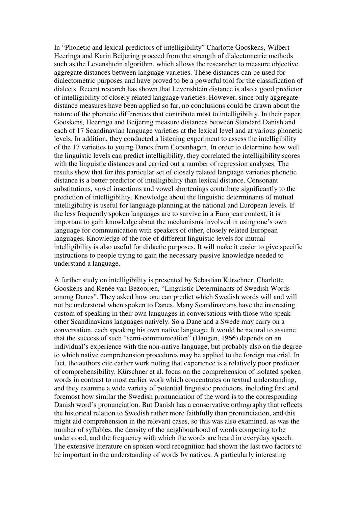In "Phonetic and lexical predictors of intelligibility" Charlotte Gooskens, Wilbert Heeringa and Karin Beijering proceed from the strength of dialectometric methods such as the Levenshtein algorithm, which allows the researcher to measure objective aggregate distances between language varieties. These distances can be used for dialectometric purposes and have proved to be a powerful tool for the classification of dialects. Recent research has shown that Levenshtein distance is also a good predictor of intelligibility of closely related language varieties. However, since only aggregate distance measures have been applied so far, no conclusions could be drawn about the nature of the phonetic differences that contribute most to intelligibility. In their paper, Gooskens, Heeringa and Beijering measure distances between Standard Danish and each of 17 Scandinavian language varieties at the lexical level and at various phonetic levels. In addition, they conducted a listening experiment to assess the intelligibility of the 17 varieties to young Danes from Copenhagen. In order to determine how well the linguistic levels can predict intelligibility, they correlated the intelligibility scores with the linguistic distances and carried out a number of regression analyses. The results show that for this particular set of closely related language varieties phonetic distance is a better predictor of intelligibility than lexical distance. Consonant substitutions, vowel insertions and vowel shortenings contribute significantly to the prediction of intelligibility. Knowledge about the linguistic determinants of mutual intelligibility is useful for language planning at the national and European levels. If the less frequently spoken languages are to survive in a European context, it is important to gain knowledge about the mechanisms involved in using one's own language for communication with speakers of other, closely related European languages. Knowledge of the role of different linguistic levels for mutual intelligibility is also useful for didactic purposes. It will make it easier to give specific instructions to people trying to gain the necessary passive knowledge needed to understand a language.

A further study on intelligibility is presented by Sebastian Kürschner, Charlotte Gooskens and Renée van Bezooijen, "Linguistic Determinants of Swedish Words among Danes". They asked how one can predict which Swedish words will and will not be understood when spoken to Danes. Many Scandinavians have the interesting custom of speaking in their own languages in conversations with those who speak other Scandinavians languages natively. So a Dane and a Swede may carry on a conversation, each speaking his own native language. It would be natural to assume that the success of such "semi-communication" (Haugen, 1966) depends on an individual's experience with the non-native language, but probably also on the degree to which native comprehension procedures may be applied to the foreign material. In fact, the authors cite earlier work noting that experience is a relatively poor predictor of comprehensibility. Kürschner et al. focus on the comprehension of isolated spoken words in contrast to most earlier work which concentrates on textual understanding, and they examine a wide variety of potential linguistic predictors, including first and foremost how similar the Swedish pronunciation of the word is to the corresponding Danish word's pronunciation. But Danish has a conservative orthography that reflects the historical relation to Swedish rather more faithfully than pronunciation, and this might aid comprehension in the relevant cases, so this was also examined, as was the number of syllables, the density of the neighbourhood of words competing to be understood, and the frequency with which the words are heard in everyday speech. The extensive literature on spoken word recognition had shown the last two factors to be important in the understanding of words by natives. A particularly interesting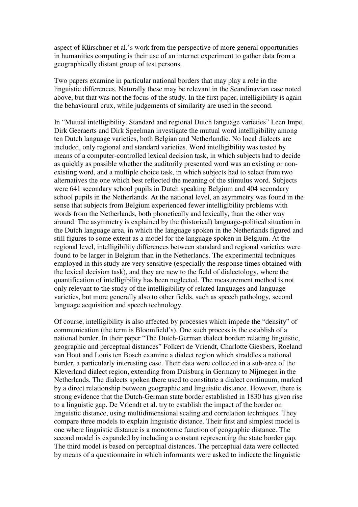aspect of Kürschner et al.'s work from the perspective of more general opportunities in humanities computing is their use of an internet experiment to gather data from a geographically distant group of test persons.

Two papers examine in particular national borders that may play a role in the linguistic differences. Naturally these may be relevant in the Scandinavian case noted above, but that was not the focus of the study. In the first paper, intelligibility is again the behavioural crux, while judgements of similarity are used in the second.

In "Mutual intelligibility. Standard and regional Dutch language varieties" Leen Impe, Dirk Geeraerts and Dirk Speelman investigate the mutual word intelligibility among ten Dutch language varieties, both Belgian and Netherlandic. No local dialects are included, only regional and standard varieties. Word intelligibility was tested by means of a computer-controlled lexical decision task, in which subjects had to decide as quickly as possible whether the auditorily presented word was an existing or nonexisting word, and a multiple choice task, in which subjects had to select from two alternatives the one which best reflected the meaning of the stimulus word. Subjects were 641 secondary school pupils in Dutch speaking Belgium and 404 secondary school pupils in the Netherlands. At the national level, an asymmetry was found in the sense that subjects from Belgium experienced fewer intelligibility problems with words from the Netherlands, both phonetically and lexically, than the other way around. The asymmetry is explained by the (historical) language-political situation in the Dutch language area, in which the language spoken in the Netherlands figured and still figures to some extent as a model for the language spoken in Belgium. At the regional level, intelligibility differences between standard and regional varieties were found to be larger in Belgium than in the Netherlands. The experimental techniques employed in this study are very sensitive (especially the response times obtained with the lexical decision task), and they are new to the field of dialectology, where the quantification of intelligibility has been neglected. The measurement method is not only relevant to the study of the intelligibility of related languages and language varieties, but more generally also to other fields, such as speech pathology, second language acquisition and speech technology.

Of course, intelligibility is also affected by processes which impede the "density" of communication (the term is Bloomfield's). One such process is the establish of a national border. In their paper "The Dutch-German dialect border: relating linguistic, geographic and perceptual distances" Folkert de Vriendt, Charlotte Giesbers, Roeland van Hout and Louis ten Bosch examine a dialect region which straddles a national border, a particularly interesting case. Their data were collected in a sub-area of the Kleverland dialect region, extending from Duisburg in Germany to Nijmegen in the Netherlands. The dialects spoken there used to constitute a dialect continuum, marked by a direct relationship between geographic and linguistic distance. However, there is strong evidence that the Dutch-German state border established in 1830 has given rise to a linguistic gap. De Vriendt et al. try to establish the impact of the border on linguistic distance, using multidimensional scaling and correlation techniques. They compare three models to explain linguistic distance. Their first and simplest model is one where linguistic distance is a monotonic function of geographic distance. The second model is expanded by including a constant representing the state border gap. The third model is based on perceptual distances. The perceptual data were collected by means of a questionnaire in which informants were asked to indicate the linguistic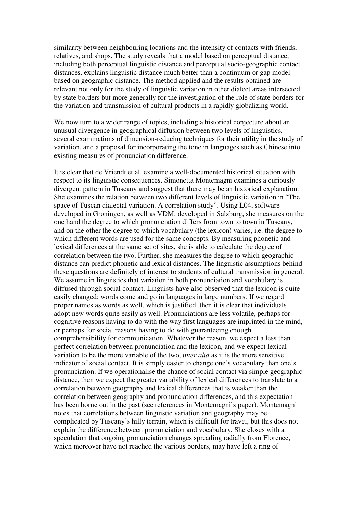similarity between neighbouring locations and the intensity of contacts with friends, relatives, and shops. The study reveals that a model based on perceptual distance, including both perceptual linguistic distance and perceptual socio-geographic contact distances, explains linguistic distance much better than a continuum or gap model based on geographic distance. The method applied and the results obtained are relevant not only for the study of linguistic variation in other dialect areas intersected by state borders but more generally for the investigation of the role of state borders for the variation and transmission of cultural products in a rapidly globalizing world.

We now turn to a wider range of topics, including a historical conjecture about an unusual divergence in geographical diffusion between two levels of linguistics, several examinations of dimension-reducing techniques for their utility in the study of variation, and a proposal for incorporating the tone in languages such as Chinese into existing measures of pronunciation difference.

It is clear that de Vriendt et al. examine a well-documented historical situation with respect to its linguistic consequences. Simonetta Montemagni examines a curiously divergent pattern in Tuscany and suggest that there may be an historical explanation. She examines the relation between two different levels of linguistic variation in "The space of Tuscan dialectal variation. A correlation study". Using L04, software developed in Groningen, as well as VDM, developed in Salzburg, she measures on the one hand the degree to which pronunciation differs from town to town in Tuscany, and on the other the degree to which vocabulary (the lexicon) varies, i.e. the degree to which different words are used for the same concepts. By measuring phonetic and lexical differences at the same set of sites, she is able to calculate the degree of correlation between the two. Further, she measures the degree to which geographic distance can predict phonetic and lexical distances. The linguistic assumptions behind these questions are definitely of interest to students of cultural transmission in general. We assume in linguistics that variation in both pronunciation and vocabulary is diffused through social contact. Linguists have also observed that the lexicon is quite easily changed: words come and go in languages in large numbers. If we regard proper names as words as well, which is justified, then it is clear that individuals adopt new words quite easily as well. Pronunciations are less volatile, perhaps for cognitive reasons having to do with the way first languages are imprinted in the mind, or perhaps for social reasons having to do with guaranteeing enough comprehensibility for communication. Whatever the reason, we expect a less than perfect correlation between pronunciation and the lexicon, and we expect lexical variation to be the more variable of the two, *inter alia* as it is the more sensitive indicator of social contact. It is simply easier to change one's vocabulary than one's pronunciation. If we operationalise the chance of social contact via simple geographic distance, then we expect the greater variability of lexical differences to translate to a correlation between geography and lexical differences that is weaker than the correlation between geography and pronunciation differences, and this expectation has been borne out in the past (see references in Montemagni's paper). Montemagni notes that correlations between linguistic variation and geography may be complicated by Tuscany's hilly terrain, which is difficult for travel, but this does not explain the difference between pronunciation and vocabulary. She closes with a speculation that ongoing pronunciation changes spreading radially from Florence, which moreover have not reached the various borders, may have left a ring of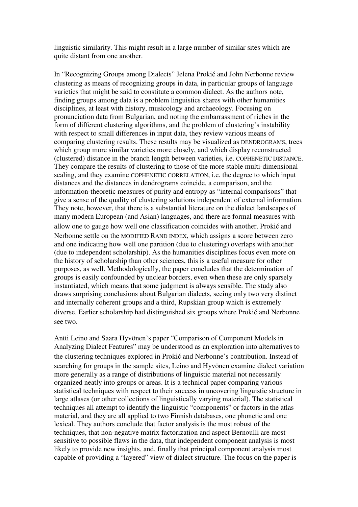linguistic similarity. This might result in a large number of similar sites which are quite distant from one another.

In "Recognizing Groups among Dialects" Jelena Prokić and John Nerbonne review clustering as means of recognizing groups in data, in particular groups of language varieties that might be said to constitute a common dialect. As the authors note, finding groups among data is a problem linguistics shares with other humanities disciplines, at least with history, musicology and archaeology. Focusing on pronunciation data from Bulgarian, and noting the embarrassment of riches in the form of different clustering algorithms, and the problem of clustering's instability with respect to small differences in input data, they review various means of comparing clustering results. These results may be visualized as DENDROGRAMS, trees which group more similar varieties more closely, and which display reconstructed (clustered) distance in the branch length between varieties, i.e. COPHENETIC DISTANCE. They compare the results of clustering to those of the more stable multi-dimensional scaling, and they examine COPHENETIC CORRELATION, i.e. the degree to which input distances and the distances in dendrograms coincide, a comparison, and the information-theoretic measures of purity and entropy as "internal comparisons" that give a sense of the quality of clustering solutions independent of external information. They note, however, that there is a substantial literature on the dialect landscapes of many modern European (and Asian) languages, and there are formal measures with allow one to gauge how well one classification coincides with another. Prokić and Nerbonne settle on the MODIFIED RAND INDEX, which assigns a score between zero and one indicating how well one partition (due to clustering) overlaps with another (due to independent scholarship). As the humanities disciplines focus even more on the history of scholarship than other sciences, this is a useful measure for other purposes, as well. Methodologically, the paper concludes that the determination of groups is easily confounded by unclear borders, even when these are only sparsely instantiated, which means that some judgment is always sensible. The study also draws surprising conclusions about Bulgarian dialects, seeing only two very distinct and internally coherent groups and a third, Rupskian group which is extremely diverse. Earlier scholarship had distinguished six groups where Prokić and Nerbonne see two.

Antti Leino and Saara Hyvönen's paper "Comparison of Component Models in Analyzing Dialect Features" may be understood as an exploration into alternatives to the clustering techniques explored in Prokić and Nerbonne's contribution. Instead of searching for groups in the sample sites, Leino and Hyvönen examine dialect variation more generally as a range of distributions of linguistic material not necessarily organized neatly into groups or areas. It is a technical paper comparing various statistical techniques with respect to their success in uncovering linguistic structure in large atlases (or other collections of linguistically varying material). The statistical techniques all attempt to identify the linguistic "components" or factors in the atlas material, and they are all applied to two Finnish databases, one phonetic and one lexical. They authors conclude that factor analysis is the most robust of the techniques, that non-negative matrix factorization and aspect Bernoulli are most sensitive to possible flaws in the data, that independent component analysis is most likely to provide new insights, and, finally that principal component analysis most capable of providing a "layered" view of dialect structure. The focus on the paper is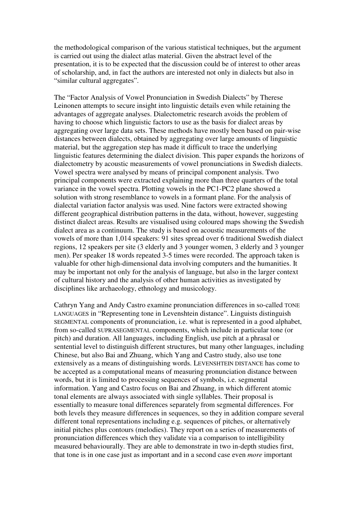the methodological comparison of the various statistical techniques, but the argument is carried out using the dialect atlas material. Given the abstract level of the presentation, it is to be expected that the discussion could be of interest to other areas of scholarship, and, in fact the authors are interested not only in dialects but also in "similar cultural aggregates".

The "Factor Analysis of Vowel Pronunciation in Swedish Dialects" by Therese Leinonen attempts to secure insight into linguistic details even while retaining the advantages of aggregate analyses. Dialectometric research avoids the problem of having to choose which linguistic factors to use as the basis for dialect areas by aggregating over large data sets. These methods have mostly been based on pair-wise distances between dialects, obtained by aggregating over large amounts of linguistic material, but the aggregation step has made it difficult to trace the underlying linguistic features determining the dialect division. This paper expands the horizons of dialectometry by acoustic measurements of vowel pronunciations in Swedish dialects. Vowel spectra were analysed by means of principal component analysis. Two principal components were extracted explaining more than three quarters of the total variance in the vowel spectra. Plotting vowels in the PC1-PC2 plane showed a solution with strong resemblance to vowels in a formant plane. For the analysis of dialectal variation factor analysis was used. Nine factors were extracted showing different geographical distribution patterns in the data, without, however, suggesting distinct dialect areas. Results are visualised using coloured maps showing the Swedish dialect area as a continuum. The study is based on acoustic measurements of the vowels of more than 1,014 speakers: 91 sites spread over 6 traditional Swedish dialect regions, 12 speakers per site (3 elderly and 3 younger women, 3 elderly and 3 younger men). Per speaker 18 words repeated 3-5 times were recorded. The approach taken is valuable for other high-dimensional data involving computers and the humanities. It may be important not only for the analysis of language, but also in the larger context of cultural history and the analysis of other human activities as investigated by disciplines like archaeology, ethnology and musicology.

Cathryn Yang and Andy Castro examine pronunciation differences in so-called TONE LANGUAGES in "Representing tone in Levenshtein distance". Linguists distinguish SEGMENTAL components of pronunciation, i.e. what is represented in a good alphabet, from so-called SUPRASEGMENTAL components, which include in particular tone (or pitch) and duration. All languages, including English, use pitch at a phrasal or sentential level to distinguish different structures, but many other languages, including Chinese, but also Bai and Zhuang, which Yang and Castro study, also use tone extensively as a means of distinguishing words. LEVENSHTEIN DISTANCE has come to be accepted as a computational means of measuring pronunciation distance between words, but it is limited to processing sequences of symbols, i.e. segmental information. Yang and Castro focus on Bai and Zhuang, in which different atomic tonal elements are always associated with single syllables. Their proposal is essentially to measure tonal differences separately from segmental differences. For both levels they measure differences in sequences, so they in addition compare several different tonal representations including e.g. sequences of pitches, or alternatively initial pitches plus contours (melodies). They report on a series of measurements of pronunciation differences which they validate via a comparison to intelligibility measured behaviourally. They are able to demonstrate in two in-depth studies first, that tone is in one case just as important and in a second case even *more* important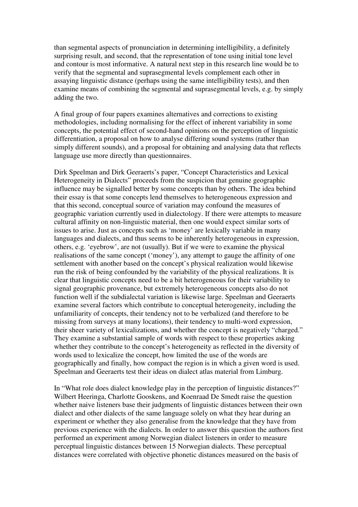than segmental aspects of pronunciation in determining intelligibility, a definitely surprising result, and second, that the representation of tone using initial tone level and contour is most informative. A natural next step in this research line would be to verify that the segmental and suprasegmental levels complement each other in assaying linguistic distance (perhaps using the same intelligibility tests), and then examine means of combining the segmental and suprasegmental levels, e.g. by simply adding the two.

A final group of four papers examines alternatives and corrections to existing methodologies, including normalising for the effect of inherent variability in some concepts, the potential effect of second-hand opinions on the perception of linguistic differentiation, a proposal on how to analyse differing sound systems (rather than simply different sounds), and a proposal for obtaining and analysing data that reflects language use more directly than questionnaires.

Dirk Speelman and Dirk Geeraerts's paper, "Concept Characteristics and Lexical Heterogeneity in Dialects" proceeds from the suspicion that genuine geographic influence may be signalled better by some concepts than by others. The idea behind their essay is that some concepts lend themselves to heterogeneous expression and that this second, conceptual source of variation may confound the measures of geographic variation currently used in dialectology. If there were attempts to measure cultural affinity on non-linguistic material, then one would expect similar sorts of issues to arise. Just as concepts such as 'money' are lexically variable in many languages and dialects, and thus seems to be inherently heterogeneous in expression, others, e.g. 'eyebrow', are not (usually). But if we were to examine the physical realisations of the same concept ('money'), any attempt to gauge the affinity of one settlement with another based on the concept's physical realization would likewise run the risk of being confounded by the variability of the physical realizations. It is clear that linguistic concepts need to be a bit heterogeneous for their variability to signal geographic provenance, but extremely heterogeneous concepts also do not function well if the subdialectal variation is likewise large. Speelman and Geeraerts examine several factors which contribute to conceptual heterogeneity, including the unfamiliarity of concepts, their tendency not to be verbalized (and therefore to be missing from surveys at many locations), their tendency to multi-word expression, their sheer variety of lexicalizations, and whether the concept is negatively "charged." They examine a substantial sample of words with respect to these properties asking whether they contribute to the concept's heterogeneity as reflected in the diversity of words used to lexicalize the concept, how limited the use of the words are geographically and finally, how compact the region is in which a given word is used. Speelman and Geeraerts test their ideas on dialect atlas material from Limburg.

In "What role does dialect knowledge play in the perception of linguistic distances?" Wilbert Heeringa, Charlotte Gooskens, and Koenraad De Smedt raise the question whether naive listeners base their judgments of linguistic distances between their own dialect and other dialects of the same language solely on what they hear during an experiment or whether they also generalise from the knowledge that they have from previous experience with the dialects. In order to answer this question the authors first performed an experiment among Norwegian dialect listeners in order to measure perceptual linguistic distances between 15 Norwegian dialects. These perceptual distances were correlated with objective phonetic distances measured on the basis of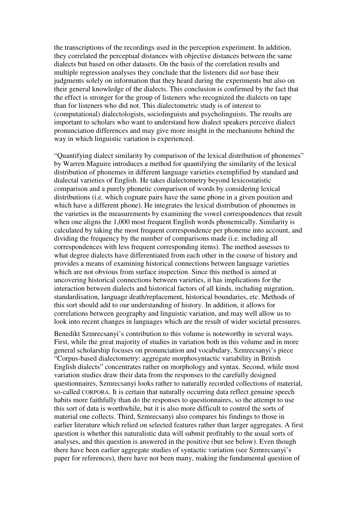the transcriptions of the recordings used in the perception experiment. In addition, they correlated the perceptual distances with objective distances between the same dialects but based on other datasets. On the basis of the correlation results and multiple regression analyses they conclude that the listeners did *not* base their judgments solely on information that they heard during the experiments but also on their general knowledge of the dialects. This conclusion is confirmed by the fact that the effect is stronger for the group of listeners who recognized the dialects on tape than for listeners who did not. This dialectometric study is of interest to (computational) dialectologists, sociolinguists and psycholinguists. The results are important to scholars who want to understand how dialect speakers perceive dialect pronunciation differences and may give more insight in the mechanisms behind the way in which linguistic variation is experienced.

"Quantifying dialect similarity by comparison of the lexical distribution of phonemes" by Warren Maguire introduces a method for quantifying the similarity of the lexical distribution of phonemes in different language varieties exemplified by standard and dialectal varieties of English. He takes dialectometry beyond lexicostatistic comparison and a purely phonetic comparison of words by considering lexical distributions (i.e. which cognate pairs have the same phone in a given position and which have a different phone). He integrates the lexical distribution of phonemes in the varieties in the measurements by examining the vowel correspondences that result when one aligns the 1,000 most frequent English words phonemically. Similarity is calculated by taking the most frequent correspondence per phoneme into account, and dividing the frequency by the number of comparisons made (i.e. including all correspondences with less frequent corresponding items). The method assesses to what degree dialects have differentiated from each other in the course of history and provides a means of examining historical connections between language varieties which are not obvious from surface inspection. Since this method is aimed at uncovering historical connections between varieties, it has implications for the interaction between dialects and historical factors of all kinds, including migration, standardisation, language death/replacement, historical boundaries, etc. Methods of this sort should add to our understanding of history. In addition, it allows for correlations between geography and linguistic variation, and may well allow us to look into recent changes in languages which are the result of wider societal pressures.

Benedikt Szmrecsanyi's contribution to this volume is noteworthy in several ways. First, while the great majority of studies in variation both in this volume and in more general scholarship focuses on pronunciation and vocabulary, Szmrecsanyi's piece "Corpus-based dialectometry: aggregate morphosyntactic variability in British English dialects" concentrates rather on morphology and syntax. Second, while most variation studies draw their data from the responses to the carefully designed questionnaires, Szmrecsanyi looks rather to naturally recorded collections of material, so-called CORPORA. It is certain that naturally occurring data reflect genuine speech habits more faithfully than do the responses to questionnaires, so the attempt to use this sort of data is worthwhile, but it is also more difficult to control the sorts of material one collects. Third, Szmrecsanyi also compares his findings to those in earlier literature which relied on selected features rather than larger aggregates. A first question is whether this naturalistic data will submit profitably to the usual sorts of analyses, and this question is answered in the positive (but see below). Even though there have been earlier aggregate studies of syntactic variation (see Szmrecsanyi's paper for references), there have not been many, making the fundamental question of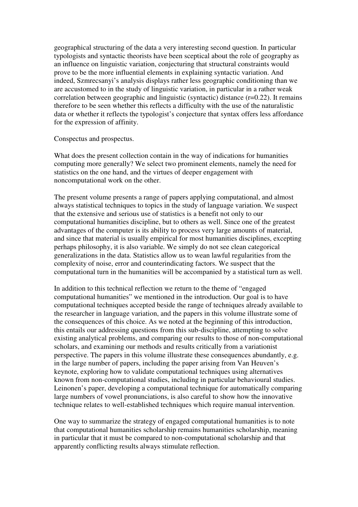geographical structuring of the data a very interesting second question. In particular typologists and syntactic theorists have been sceptical about the role of geography as an influence on linguistic variation, conjecturing that structural constraints would prove to be the more influential elements in explaining syntactic variation. And indeed, Szmrecsanyi's analysis displays rather less geographic conditioning than we are accustomed to in the study of linguistic variation, in particular in a rather weak correlation between geographic and linguistic (syntactic) distance  $(r=0.22)$ . It remains therefore to be seen whether this reflects a difficulty with the use of the naturalistic data or whether it reflects the typologist's conjecture that syntax offers less affordance for the expression of affinity.

Conspectus and prospectus.

What does the present collection contain in the way of indications for humanities computing more generally? We select two prominent elements, namely the need for statistics on the one hand, and the virtues of deeper engagement with noncomputational work on the other.

The present volume presents a range of papers applying computational, and almost always statistical techniques to topics in the study of language variation. We suspect that the extensive and serious use of statistics is a benefit not only to our computational humanities discipline, but to others as well. Since one of the greatest advantages of the computer is its ability to process very large amounts of material, and since that material is usually empirical for most humanities disciplines, excepting perhaps philosophy, it is also variable. We simply do not see clean categorical generalizations in the data. Statistics allow us to wean lawful regularities from the complexity of noise, error and counterindicating factors. We suspect that the computational turn in the humanities will be accompanied by a statistical turn as well.

In addition to this technical reflection we return to the theme of "engaged computational humanities" we mentioned in the introduction. Our goal is to have computational techniques accepted beside the range of techniques already available to the researcher in language variation, and the papers in this volume illustrate some of the consequences of this choice. As we noted at the beginning of this introduction, this entails our addressing questions from this sub-discipline, attempting to solve existing analytical problems, and comparing our results to those of non-computational scholars, and examining our methods and results critically from a variationist perspective. The papers in this volume illustrate these consequences abundantly, e.g. in the large number of papers, including the paper arising from Van Heuven's keynote, exploring how to validate computational techniques using alternatives known from non-computational studies, including in particular behavioural studies. Leinonen's paper, developing a computational technique for automatically comparing large numbers of vowel pronunciations, is also careful to show how the innovative technique relates to well-established techniques which require manual intervention.

One way to summarize the strategy of engaged computational humanities is to note that computational humanities scholarship remains humanities scholarship, meaning in particular that it must be compared to non-computational scholarship and that apparently conflicting results always stimulate reflection.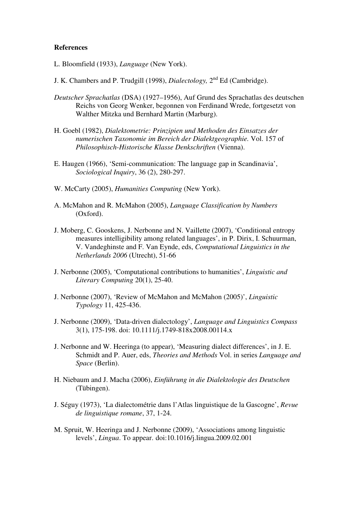# **References**

- L. Bloomfield (1933), *Language* (New York).
- J. K. Chambers and P. Trudgill (1998), *Dialectology*, 2<sup>nd</sup> Ed (Cambridge).
- *Deutscher Sprachatlas* (DSA) (1927–1956), Auf Grund des Sprachatlas des deutschen Reichs von Georg Wenker, begonnen von Ferdinand Wrede, fortgesetzt von Walther Mitzka und Bernhard Martin (Marburg).
- H. Goebl (1982), *Dialektometrie: Prinzipien und Methoden des Einsatzes der numerischen Taxonomie im Bereich der Dialektgeographie.* Vol. 157 of *Philosophisch-Historische Klasse Denkschriften* (Vienna).
- E. Haugen (1966), 'Semi-communication: The language gap in Scandinavia', *Sociological Inquiry*, 36 (2), 280-297.
- W. McCarty (2005), *Humanities Computing* (New York).
- A. McMahon and R. McMahon (2005), *Language Classification by Numbers* (Oxford).
- J. Moberg, C. Gooskens, J. Nerbonne and N. Vaillette (2007), 'Conditional entropy measures intelligibility among related languages', in P. Dirix, I. Schuurman, V. Vandeghinste and F. Van Eynde, eds, *Computational Linguistics in the Netherlands 2006* (Utrecht), 51-66
- J. Nerbonne (2005), 'Computational contributions to humanities', *Linguistic and Literary Computing* 20(1), 25-40.
- J. Nerbonne (2007), 'Review of McMahon and McMahon (2005)', *Linguistic Typology* 11, 425-436.
- J. Nerbonne (2009), 'Data-driven dialectology', *Language and Linguistics Compass* 3(1), 175-198. doi: 10.1111/j.1749-818x2008.00114.x
- J. Nerbonne and W. Heeringa (to appear), 'Measuring dialect differences', in J. E. Schmidt and P. Auer, eds, *Theories and Methods* Vol. in series *Language and Space* (Berlin).
- H. Niebaum and J. Macha (2006), *Einführung in die Dialektologie des Deutschen* (Tübingen).
- J. Séguy (1973), 'La dialectométrie dans l'Atlas linguistique de la Gascogne', *Revue de linguistique romane*, 37, 1-24.
- M. Spruit, W. Heeringa and J. Nerbonne (2009), 'Associations among linguistic levels', *Lingua*. To appear. doi:10.1016/j.lingua.2009.02.001